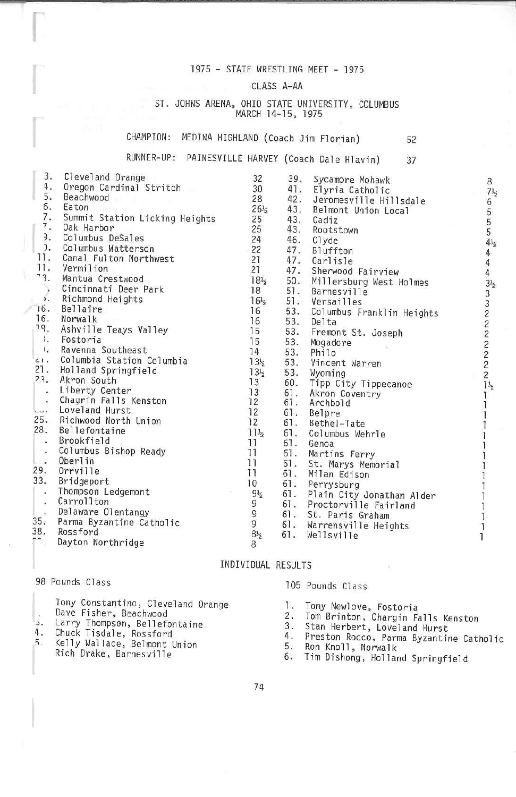# 1975 - STATE WRESTLING MEET - 1975

# CLASS A-AA

## ST. JOHNS ARENA, OHIO STATE UNIVERSITY, COLUMBUS MARCH 14-15, 1975

# CHAMPION: MEDINA HIGHLAND (Coach Jim Florian)

#### RUNNER-UP: PAINESVILLE HARVEY (Coach Dale Hlavin) 37

| 3.                    | Cleveland Orange                  | 32              | 39. | Sycamore Mohawk               |  |
|-----------------------|-----------------------------------|-----------------|-----|-------------------------------|--|
| 4.<br>5.              | Oregon Cardinal Stritch           | 30              | 41. | Elyria Catholic               |  |
|                       | Beachwood                         | 28              | 42. | Jeromesville Hillsdale        |  |
|                       | 6. Eaton<br>Telephone             | $26\frac{1}{2}$ | 43. | Belmont Union Local           |  |
|                       | 7. Summit Station Licking Heights | 25              | 43. | Cadiz                         |  |
| 7.                    | Oak Harbor                        | 25              | 43. | Rootstown                     |  |
| Э.                    | Columbus DeSales                  | 24              |     | 46. Clyde                     |  |
|                       | ). Columbus Watterson             | 22              |     | 47. Bluffton                  |  |
| 11.                   | Canal Fulton Northwest            | 21              |     | 47. Carlisle                  |  |
| 11.                   | Vermilion                         | 21              |     | 47. Sherwood Fairview         |  |
| 3.                    | Mantua Crestwood                  | $18\frac{1}{2}$ | 50. | Millersburg West Holmes       |  |
|                       | Cincinnati Deer Park              | 18              |     | 51. Barnesville               |  |
| $\mathcal{L}$         | Richmond Heights                  | $16\frac{1}{2}$ |     | 51. Versailles                |  |
| 16.                   | Bellaire                          | 16              |     | 53. Columbus Franklin Heights |  |
| 16.                   | Norwalk                           | 16              | 53. | Delta                         |  |
| 19.                   | Ashville Teays Valley             | 15              | 53. | Fremont St. Joseph            |  |
| $\mathbf{I}_{\star}$  | Fostoria                          | 15              | 53. | Mogadore                      |  |
| $\mathbf{L}$          | Ravenna Southeast                 | 14              | 53. | Philo                         |  |
| 61.1                  | Columbia Station Columbia         | $13\frac{1}{2}$ | 53. | Vincent Warren                |  |
| 21.                   | Holland Springfield               | 13 <sub>5</sub> | 53. | Wyoming                       |  |
| 23.                   | Akron South                       | 13              | 60. | Tipp City Tippecanoe          |  |
| $\sim$                | Liberty Center                    | 13              | 61. | Akron Coventry                |  |
| $\epsilon^2$          | Chagrin Falls Kenston             | 12              | 61. | Archbold                      |  |
| $\sim$ $\sim$ $\sim$  | Loveland Hurst                    | 12              | 61. | Belpre                        |  |
| 25.                   | Richwood North Union              | 12              | 61. | Bethel-Tate                   |  |
| 28.                   | Bellefontaine                     | $11\frac{1}{2}$ | 61. | Columbus Wehrle               |  |
| $\cdot$               | Brookfield                        | 11              | 61. | Genoa                         |  |
| $\mathcal{G}_\bullet$ | Columbus Bishop Ready             | 11              | 61. | Martins Ferry                 |  |
| $-1$                  | Oberlin                           | 11              | 61. | St. Marys Memorial            |  |
| 29.                   | Orrville                          | 11              | 61. | Milan Edison                  |  |
| 33.                   | Bridgeport                        | 10              | 61. | Perrysburg                    |  |
| $\mathbf{r}_i$        | Thompson Ledgemont                | $9\frac{1}{2}$  |     | 61. Plain City Jonathan Alder |  |
| $\alpha$              | Carrollton                        |                 |     | 61. Proctorville Fairland     |  |
|                       | Delaware Olentangy                | 9<br>9          |     | 61. St. Paris Graham          |  |
| 35.                   | Parma Byzantine Catholic          | 9               |     | 61. Warrensville Heights      |  |
| 38.                   | Rossford                          | $8\frac{1}{2}$  | 61. | Wellsville                    |  |
| $\sim$                | Dayton Northridge                 | 8               |     |                               |  |

# INDIVIDUAL RESULTS

## 98 Pounds Class

|  | Tony Constantino, Cleveland Orange |  |
|--|------------------------------------|--|
|  | Dave Fisher, Beachwood             |  |
|  | $\blacksquare$                     |  |

- э.
- 4.
- Larry Thompson, Bellefontaine<br>Chuck Tisdale, Rossford<br>Kelly Wallace, Belmont Union 5. Rich Drake, Barnesville

# 105 Pounds Class

- Tony Newlove, Fostoria 1.
- $2.$
- 3.
- Tom Brinton, Chargin Falls Kenston<br>Stan Herbert, Loveland Hurst<br>Preston Rocco, Parma Byzantine Catholic 4.
- 5. Ron Knoll, Norwalk
- 6. Tim Dishong, Holland Springfield

52

 $7\frac{1}{2}$ 6  $\frac{5}{5}$  $4\frac{1}{2}$ 4  $\ddot{4}$  $\overline{a}$  $3\frac{1}{2}$  $3322222$  $\mathbf{1}$  $\mathbf{I}$ 1 1 1 1 1 Ī ï Ĩ 1 1

ī L ī

8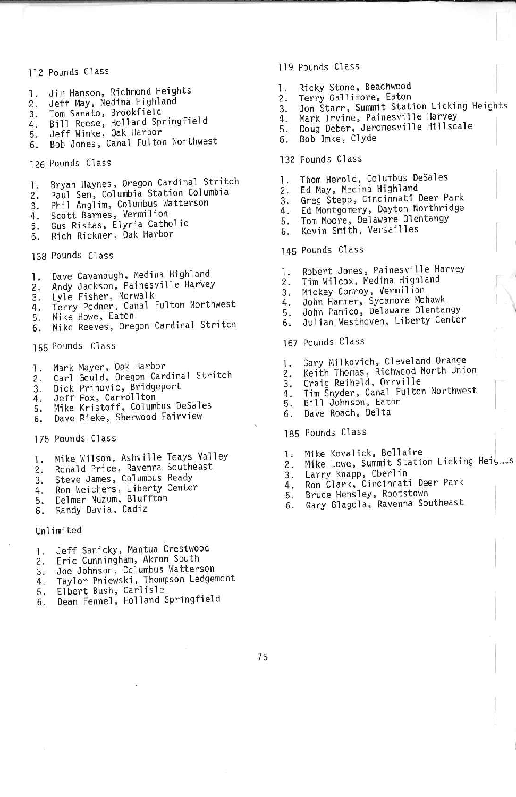## 112 Pounds Class

- 1. Jim Hanson, Richmond Heights
- 2. Jeff May, Medina Highland
- 
- 
- 
- 3. Tom Sanato, Brookfield<br>4. Bill Reese, Holland Springfield<br>5. Jeff Winke, Oak Harbor<br>6. Bob Jones, Canal Fulton Northwest
- 126 Pounds Class
- Bryan Haynes, Oregon Cardinal Stritch 1.
- Paul Sen, Columbia Station Columbia  $2.$
- Phil Anglim, Columbus Watterson 3.
- Scott Barnes, Vermilion 4.
- 5. Gus Ristas, Elyria Catholic
- Rich Rickner, Oak Harbor 6.

138 Pounds Class

- Dave Cavanaugh, Medina Highland  $1.$
- Andy Jackson, Painesville Harvey  $2.$
- Lyle Fisher, Norwalk 3.
- 4. Terry Podner, Canal Fulton Northwest
- 5. Mike Howe, Eaton
- Mike Reeves, Oregon Cardinal Stritch 6.
- 155 Pounds Class
- 
- 1. Mark Mayer, Oak Harbor<br>2. Carl Gould, Oregon Cardinal Stritch
- 3. Dick Prinovic, Bridgeport<br>4. Jeff Fox, Carrollton
- 4.
- Mike Kristoff, Columbus DeSales 5.
- Dave Rieke, Sherwood Fairview б.
- 175 Pounds Class
- 1. Mike Wilson, Ashville Teays Valley
- 2. Ronald Price, Ravenna Southeast
- 3. Steve James, Columbus Ready<br>4. Ron Weichers, Liberty Center<br>5. Delmer Nuzum, Bluffton
- 
- 
- Randy Davia, Cadiz 6.

#### Unlimited

- 1. Jeff Sanicky, Mantua Crestwood
- 2. Eric Cunningham, Akron South
- 3. Joe Johnson, Columbus Watterson
- 4. Taylor Pniewski, Thompson Ledgemont<br>5. Elbert Bush, Carlisle<br>6. Dean Fennel, Holland Springfield
- 
- 
- 119 Pounds Class
- Ricky Stone, Beachwood 1.
- Terry Gallimore, Eaton  $2.$
- Jon Starr, Summit Station Licking Heights  $3.$
- Mark Irvine, Painesville Harvey 4.
- Doug Deber, Jeromesville Hillsdale 5.
- Bob Imke, Clyde 6.

#### 132 Pounds Class

- Thom Herold, Columbus DeSales 1.
- 2. Ed May, Medina Highland
- Greg Stepp, Cincinnati Deer Park  $3.$
- Ed Montgomery, Dayton Northridge 4.
- 5. Tom Moore, Delaware Olentangy
- Kevin Smith, Versailles 6.
- 145 Pounds Class
- Robert Jones, Painesville Harvey 1.
- Tim Wilcox, Medina Highland  $\frac{2}{3}$ .
- Mickey Conroy, Vermilion
- John Hammer, Sycamore Mohawk 4.
- John Panico, Delaware Olentangy 5.
- Julian Westhoven, Liberty Center 6.
- 167 Pounds Class
- 
- 1. Gary Milkovich, Cleveland Orange<br>2. Keith Thomas, Richwood North Union<br>3. Craig Reiheld, Orryille
- 
- Tim Šnyder, Canal Fulton Northwest
- 4.<br>5. Bill Johnson, Eaton
- Dave Roach, Delta 6.

### 185 Pounds Class

- 1. Mike Kovalick, Bellaire
- 2. Mike Lowe, Summit Station Licking Hei, ..: s
- 3. Larry Knapp, Oberlin
- 4. Ron Clark, Cincinnati Deer Park
- 5. Bruce Hensley, Rootstown<br>6. Gary Glagola, Ravenna Southeast
- 
-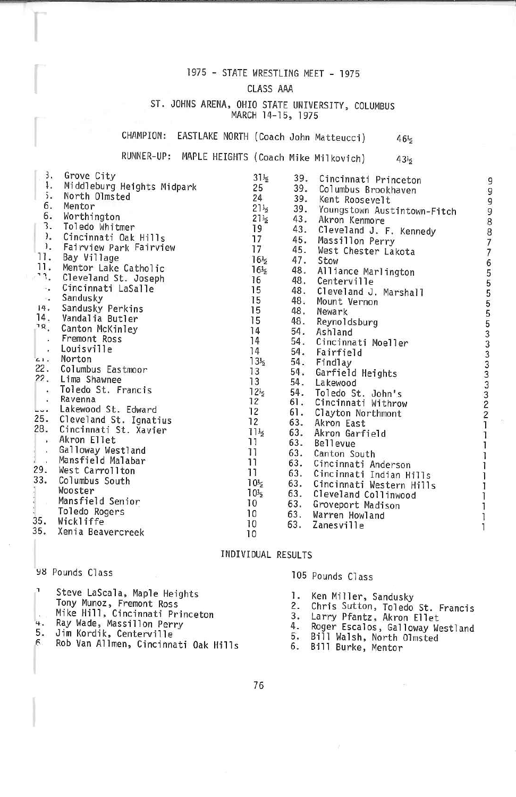# 1975 - STATE WRESTLING MEET - 1975

# CLASS AAA

## ST. JOHNS ARENA, OHIO STATE UNIVERSITY, COLUMBUS MARCH 14-15, 1975

CHAMPION: EASTLAKE NORTH (Coach John Matteucci)

RUNNER-UP: MAPLE HEIGHTS (Coach Mike Milkovich)  $43\frac{1}{2}$ 

| 3.                                     | Grove City                 | $31\frac{1}{2}$ | 39. | Cincinnati Princeton            |  |
|----------------------------------------|----------------------------|-----------------|-----|---------------------------------|--|
| ł.                                     | Middleburg Heights Midpark | 25              |     | 39. Columbus Brookhaven         |  |
| 5.                                     | North Olmsted              | 24              |     | 39. Kent Roosevelt              |  |
| 6.                                     | Mentor                     | $21\frac{1}{2}$ |     | 39. Youngstown Austintown-Fitch |  |
| 6.                                     | Worthington                | $21\frac{1}{2}$ |     | 43. Akron Kenmore               |  |
| 3.                                     | Toledo Whitmer             | 19              |     | 43. Cleveland J. F. Kennedy     |  |
| $\mathcal{L}$                          | Cincinnati Oak Hills       | 17              |     | 45. Massillon Perry             |  |
| $\mathbf{I}$ .                         | Fairview Park Fairview     | 17              |     | 45. West Chester Lakota         |  |
| 11.                                    | Bay Village                | $16\frac{1}{2}$ |     | 47. Stow                        |  |
| 11.                                    | Mentor Lake Catholic       | $16\frac{1}{2}$ |     | 48. Alliance Marlington         |  |
| ٦٦.                                    | Cleveland St. Joseph       | 16              | 48. | Centerville                     |  |
| $\alpha_{\rm in}$                      | Cincinnati LaSalle         | 15              | 48. | Cleveland J. Marshall           |  |
| $\langle \langle \psi \rangle \rangle$ | Sandusky                   | 15              | 48. | Mount Vernon                    |  |
| 14.                                    | Sandusky Perkins           | 15              | 48. | Newark                          |  |
| 14.                                    | Vandalia Butler            | 15              | 48. | Reynoldsburg                    |  |
| $\overline{18}$                        | Canton McKinley            | 14              |     | 54. Ashland                     |  |
| $\tilde{\mathbf{w}}$                   | Fremont Ross               | 14              |     | 54. Cincinnati Moeller          |  |
| $\bullet$                              | Louisville                 | 14              |     | 54. Fairfield                   |  |
| 21.1                                   | Norton                     | $13\frac{1}{2}$ |     | 54. Findlay                     |  |
| 22.                                    | Columbus Eastmoor          | 13              |     | 54. Garfield Heights            |  |
| 22.                                    | Lima Shawnee               | 13              | 54. | Lakewood                        |  |
| $\bar{\Omega}$                         | Toledo St. Francis         | $12\frac{1}{2}$ |     | 54. Toledo St. John's           |  |
| $\overline{E}$                         | Ravenna                    | 12              |     | 61. Cincinnati Withrow          |  |
| Lui.                                   | Lakewood St. Edward        | 12              | 61. | Clayton Northmont               |  |
|                                        | 25. Cleveland St. Ignatius | 12              | 63. | Akron East                      |  |
| 28.                                    | Cincinnati St. Xavier      | $11\frac{1}{2}$ | 63. | Akron Garfield                  |  |
| 2900                                   | Akron Ellet                | 11              | 63. | Bellevue                        |  |
| $\sim$ $\sim$                          | Galloway Westland          | 11              | 63. | Canton South                    |  |
| è<br>$\sim 0.1$                        | Mansfield Malabar          | 11              |     | 63. Cincinnati Anderson         |  |
| 29.                                    | West Carrollton            | 11              | 63. | Cincinnati Indian Hills         |  |
| 33.                                    | Columbus South             | 10 <sub>5</sub> |     | 63. Cincinnati Western Hills    |  |
|                                        | Wooster                    | 10 <sub>5</sub> |     | 63. Cleveland Collinwood        |  |
| .                                      | Mansfield Senior           | 10              | 63. | Groveport Madison               |  |
|                                        | Toledo Rogers              | 10              | 63. | Warren Howland                  |  |
| 35.                                    | Wickliffe                  | 10              | 63. | <b>Zanesville</b>               |  |
| 35.                                    | Xenia Beavercreek          | 10              |     |                                 |  |
|                                        |                            |                 |     |                                 |  |

# INDIVIDUAL RESULTS

98 Pounds Class

Steve LaScala, Maple Heights Tony Munoz, Fremont Ross<br>Mike Hill, Cincinnati Princeton<br>Ray Wade, Massillon Perry<br>Jim Kordik, Centerville

- 4.
- 5.
- $\epsilon$ Rob Van Allmen, Cincinnati Oak Hills

105 Pounds Class

- 1. Ken Miller, Sandusky
- 2. Chris Sutton, Toledo St. Francis
- 3.
- Larry Pfantz, Akron Ellet<br>Roger Escalos, Galloway Westland 4.
- Bill Walsh, North Olmsted<br>Bill Walsh, North Olmsted<br>Bill Burke, Mentor 5.
- 6.

76

9

 $46\frac{1}{2}$